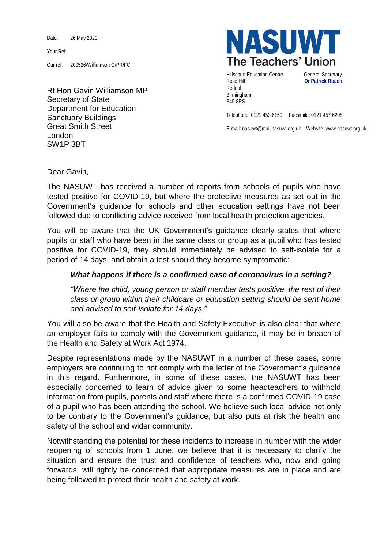Date: 26 May 2020

Your Ref:

Our ref: 200526/Williamson G/PR/FC

Rt Hon Gavin Williamson MP Secretary of State Department for Education Sanctuary Buildings Great Smith Street London SW1P 3BT



Hillscourt Education Centre **General Secretary** Rose Hill **Dr Patrick Roach** Rednal Birmingham B45 8RS

Telephone: 0121 453 6150 Facsimile: 0121 457 6208

E-mail: nasuwt@mail.nasuwt.org.uk Website: www.nasuwt.org.uk

Dear Gavin,

The NASUWT has received a number of reports from schools of pupils who have tested positive for COVID-19, but where the protective measures as set out in the Government's guidance for schools and other education settings have not been followed due to conflicting advice received from local health protection agencies.

You will be aware that the UK Government's guidance clearly states that where pupils or staff who have been in the same class or group as a pupil who has tested positive for COVID-19, they should immediately be advised to self-isolate for a period of 14 days, and obtain a test should they become symptomatic:

## *What happens if there is a confirmed case of coronavirus in a setting?*

*"Where the child, young person or staff member tests positive, the rest of their class or group within their childcare or education setting should be sent home and advised to self-isolate for 14 days."<sup>i</sup>*

You will also be aware that the Health and Safety Executive is also clear that where an employer fails to comply with the Government guidance, it may be in breach of the Health and Safety at Work Act 1974.

Despite representations made by the NASUWT in a number of these cases, some employers are continuing to not comply with the letter of the Government's guidance in this regard. Furthermore, in some of these cases, the NASUWT has been especially concerned to learn of advice given to some headteachers to withhold information from pupils, parents and staff where there is a confirmed COVID-19 case of a pupil who has been attending the school. We believe such local advice not only to be contrary to the Government's guidance, but also puts at risk the health and safety of the school and wider community.

Notwithstanding the potential for these incidents to increase in number with the wider reopening of schools from 1 June, we believe that it is necessary to clarify the situation and ensure the trust and confidence of teachers who, now and going forwards, will rightly be concerned that appropriate measures are in place and are being followed to protect their health and safety at work.